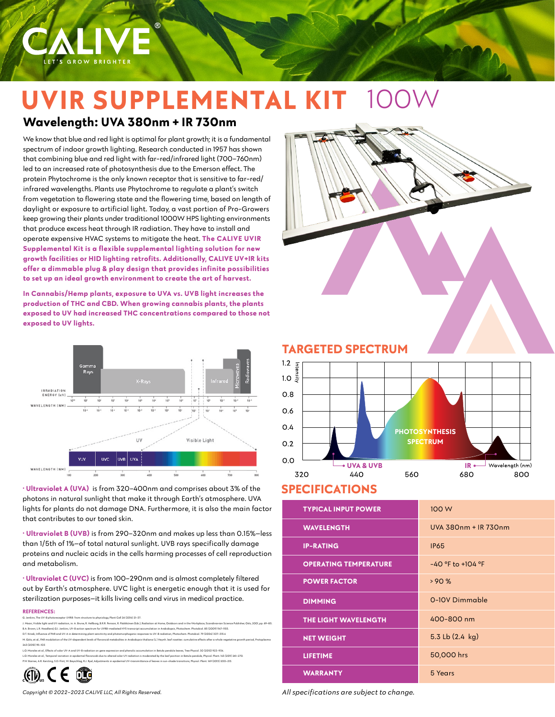

# **UVIR SUPPLEMENTAL KIT**  100W

# **Wavelength: UVA 380nm + IR 730nm**

We know that blue and red light is optimal for plant growth; it is a fundamental spectrum of indoor growth lighting. Research conducted in 1957 has shown that combining blue and red light with far-red/infrared light (700–760nm) led to an increased rate of photosynthesis due to the Emerson effect. The protein Phytochrome is the only known receptor that is sensitive to far-red/ infrared wavelengths. Plants use Phytochrome to regulate a plant's switch from vegetation to flowering state and the flowering time, based on length of daylight or exposure to artificial light. Today, a vast portion of Pro-Growers keep growing their plants under traditional 1000W HPS lighting environments that produce excess heat through IR radiation. They have to install and operate expensive HVAC systems to mitigate the heat. **The CALIVE UVIR Supplemental Kit is a flexible supplemental lighting solution for new growth facilities or HID lighting retrofits. Additionally, CALIVE UV+IR kits offer a dimmable plug & play design that provides infinite possibilities to set up an ideal growth environment to create the art of harvest.。**

**In Cannabis/Hemp plants, exposure to UVA vs. UVB light increases the production of THC and CBD. When growing cannabis plants, the plants exposed to UV had increased THC concentrations compared to those not exposed to UV lights.**



**· Ultraviolet A (UVA)** is from 320–400nm and comprises about 3% of the photons in natural sunlight that make it through Earth's atmosphere. UVA lights for plants do not damage DNA. Furthermore, it is also the main factor that contributes to our toned skin.

**· Ultraviolet B (UVB)** is from 290–320nm and makes up less than 0.15%—less than 1/5th of 1%—of total natural sunlight. UVB rays specifically damage proteins and nucleic acids in the cells harming processes of cell reproduction and metabolism.

**· Ultraviolet C (UVC)** is from 100–290nm and is almost completely filtered out by Earth's atmosphere. UVC light is energetic enough that it is used for sterilization purposes—it kills living cells and virus in medical practice.

#### **REFERENCES:**

G. Jenkins, The UV-B ph J. Moan, Visible light and UV radiation, in: A. Brune, R. Hellborg, B.R.R. Persson, R. Pääkkönen (Eds.), Radiation at Home, Outdoors and in the Workplace, Scandinavian Science Publisher, Oslo, 2001, pp. 69–85. B.A. Brown, L.R. Headland, G.I. Jenkins, UV-B action spe D.T. Krizek, Influence of PAR and UV-A in determining plant sensitivity and photomorphogenic responses to UV-B radiation, Photochem. Photobiol. 79 (2004) 307–315.4 M. Götz, et al., PAR modulation of the UV-dependent levels of flavonoid metabolites in Arabidopsis thaliana (L.) Heynh. leaf rosettes: cumulative effects after a whole vegetative growth period, Protoplasma 243 (2010) 95–103 L.O. Morales et al., Effects of solar UV-A and UV-B radiation on gene expression and phenolic accumulation in Betula pendula leaves, Tree Physiol. 30 (2010) 923–934.

n in epidermal flavonoids due to altered solar UV radiation is moderated by the leaf position in Betula pendula, Physiol. Plant. 143 (2011) 261–270.<br>V Reverblan R I Rvel Adiustments in epidermal IIV-transmittance of leaves P.W. Barnes, A.R. Kersting, S.D. Flint, W. Beyschlag, R.J. Ryel, Adjustments in epidermal UV-transmittance of leaves in sun-shade transitions, Physiol. Plant. 149 (2013) 200–213.





**TARGETED SPECTRUM**



### **SPECIFICATIONS**

| <b>TYPICAL INPUT POWER</b>   | 100 W                     |
|------------------------------|---------------------------|
| <b>WAVELENGTH</b>            | UVA 380nm + IR 730nm      |
| <b>IP-RATING</b>             | <b>IP65</b>               |
| <b>OPERATING TEMPERATURE</b> | $-40$ °F to +104 °F       |
| <b>POWER FACTOR</b>          | >90%                      |
| <b>DIMMING</b>               | 0-10V Dimmable            |
| THE LIGHT WAVELENGTH         | 400-800 nm                |
| <b>NET WEIGHT</b>            | 5.3 Lb $(2.4 \text{ kg})$ |
| <b>LIFETIME</b>              | 50,000 hrs                |
| <b>WARRANTY</b>              | 5 Years                   |

*All specifications are subject to change.*